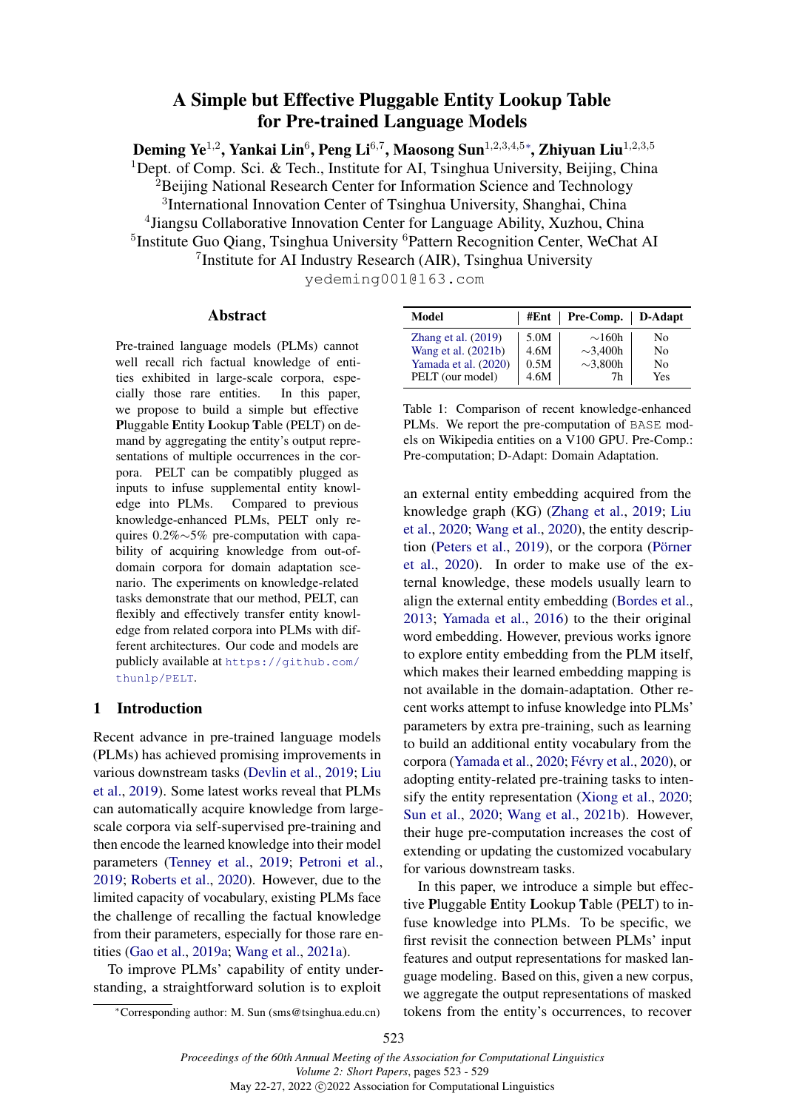# A Simple but Effective Pluggable Entity Lookup Table for Pre-trained Language Models

<span id="page-0-0"></span>Deming Ye $^{1,2}$ , Yankai Lin $^6$ , Peng Li $^{6,7}$ , Maosong Sun $^{1,2,3,4,5*}$ , Zhiyuan Liu $^{1,2,3,5}$ <sup>1</sup>Dept. of Comp. Sci. & Tech., Institute for AI, Tsinghua University, Beijing, China  ${}^{2}$ Beijing National Research Center for Information Science and Technology <sup>3</sup>International Innovation Center of Tsinghua University, Shanghai, China 4 Jiangsu Collaborative Innovation Center for Language Ability, Xuzhou, China <sup>5</sup>Institute Guo Qiang, Tsinghua University <sup>6</sup>Pattern Recognition Center, WeChat AI <sup>7</sup> Institute for AI Industry Research (AIR), Tsinghua University

yedeming001@163.com

#### Abstract

Pre-trained language models (PLMs) cannot well recall rich factual knowledge of entities exhibited in large-scale corpora, especially those rare entities. In this paper, we propose to build a simple but effective Pluggable Entity Lookup Table (PELT) on demand by aggregating the entity's output representations of multiple occurrences in the corpora. PELT can be compatibly plugged as inputs to infuse supplemental entity knowledge into PLMs. Compared to previous knowledge-enhanced PLMs, PELT only requires 0.2%∼5% pre-computation with capability of acquiring knowledge from out-ofdomain corpora for domain adaptation scenario. The experiments on knowledge-related tasks demonstrate that our method, PELT, can flexibly and effectively transfer entity knowledge from related corpora into PLMs with different architectures. Our code and models are publicly available at [https://github.com/](https://github.com/thunlp/PELT) [thunlp/PELT](https://github.com/thunlp/PELT).

### 1 Introduction

Recent advance in pre-trained language models (PLMs) has achieved promising improvements in various downstream tasks [\(Devlin et al.,](#page-4-0) [2019;](#page-4-0) [Liu](#page-5-0) [et al.,](#page-5-0) [2019\)](#page-5-0). Some latest works reveal that PLMs can automatically acquire knowledge from largescale corpora via self-supervised pre-training and then encode the learned knowledge into their model parameters [\(Tenney et al.,](#page-5-1) [2019;](#page-5-1) [Petroni et al.,](#page-5-2) [2019;](#page-5-2) [Roberts et al.,](#page-5-3) [2020\)](#page-5-3). However, due to the limited capacity of vocabulary, existing PLMs face the challenge of recalling the factual knowledge from their parameters, especially for those rare entities [\(Gao et al.,](#page-4-1) [2019a;](#page-4-1) [Wang et al.,](#page-5-4) [2021a\)](#page-5-4).

To improve PLMs' capability of entity understanding, a straightforward solution is to exploit

<span id="page-0-1"></span>

| Model                 |      | #Ent   Pre-Comp.   D-Adapt |     |
|-----------------------|------|----------------------------|-----|
| Zhang et al. $(2019)$ | 5.0M | $\sim$ 160h                | No  |
| Wang et al. $(2021b)$ | 4.6M | $\sim$ 3.400h              | No  |
| Yamada et al. (2020)  | 0.5M | $\sim$ 3.800h              | No  |
| PELT (our model)      | 4.6M | 7h                         | Yes |

Table 1: Comparison of recent knowledge-enhanced PLMs. We report the pre-computation of BASE models on Wikipedia entities on a V100 GPU. Pre-Comp.: Pre-computation; D-Adapt: Domain Adaptation.

an external entity embedding acquired from the knowledge graph (KG) [\(Zhang et al.,](#page-6-0) [2019;](#page-6-0) [Liu](#page-5-5) [et al.,](#page-5-5) [2020;](#page-5-5) [Wang et al.,](#page-6-3) [2020\)](#page-6-3), the entity description [\(Peters et al.,](#page-5-6) [2019\)](#page-5-6), or the corpora [\(Pörner](#page-5-7) [et al.,](#page-5-7) [2020\)](#page-5-7). In order to make use of the external knowledge, these models usually learn to align the external entity embedding [\(Bordes et al.,](#page-4-2) [2013;](#page-4-2) [Yamada et al.,](#page-6-4) [2016\)](#page-6-4) to the their original word embedding. However, previous works ignore to explore entity embedding from the PLM itself, which makes their learned embedding mapping is not available in the domain-adaptation. Other recent works attempt to infuse knowledge into PLMs' parameters by extra pre-training, such as learning to build an additional entity vocabulary from the corpora [\(Yamada et al.,](#page-6-2) [2020;](#page-6-2) [Févry et al.,](#page-4-3) [2020\)](#page-4-3), or adopting entity-related pre-training tasks to intensify the entity representation [\(Xiong et al.,](#page-6-5) [2020;](#page-6-5) [Sun et al.,](#page-5-8) [2020;](#page-5-8) [Wang et al.,](#page-6-1) [2021b\)](#page-6-1). However, their huge pre-computation increases the cost of extending or updating the customized vocabulary for various downstream tasks.

In this paper, we introduce a simple but effective Pluggable Entity Lookup Table (PELT) to infuse knowledge into PLMs. To be specific, we first revisit the connection between PLMs' input features and output representations for masked language modeling. Based on this, given a new corpus, we aggregate the output representations of masked tokens from the entity's occurrences, to recover

<sup>∗</sup>Corresponding author: M. Sun (sms@tsinghua.edu.cn)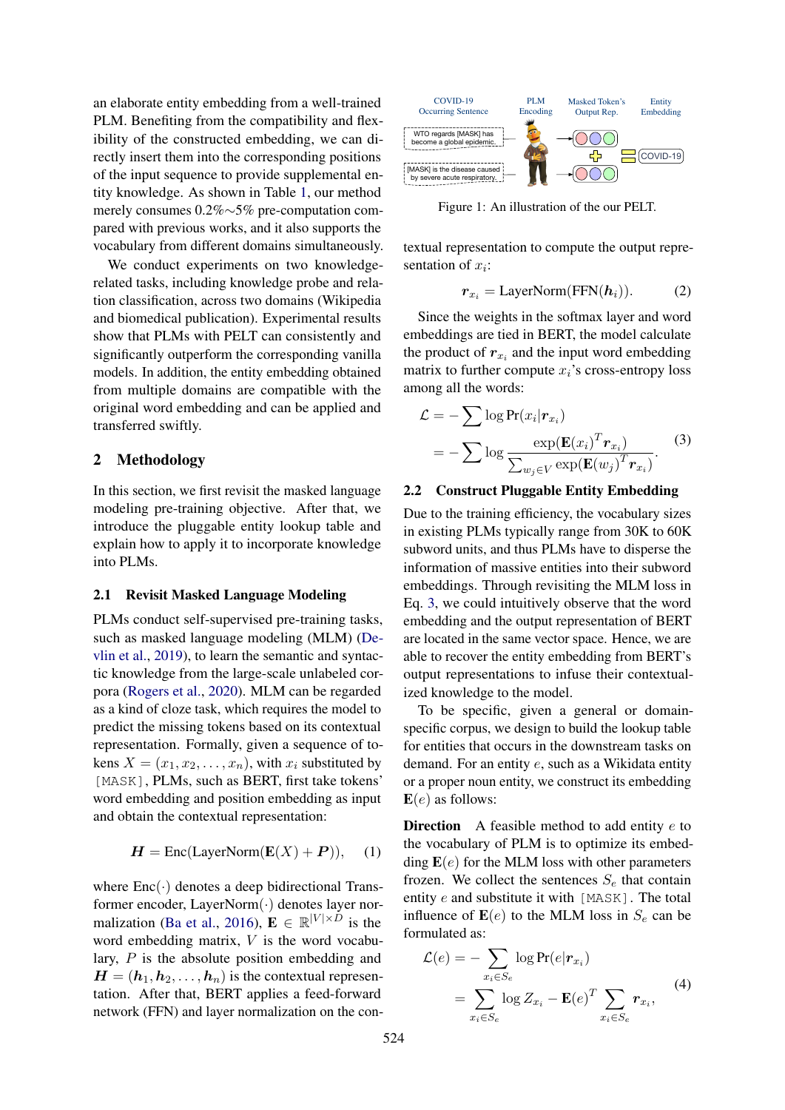an elaborate entity embedding from a well-trained PLM. Benefiting from the compatibility and flexibility of the constructed embedding, we can directly insert them into the corresponding positions of the input sequence to provide supplemental entity knowledge. As shown in Table [1,](#page-0-1) our method merely consumes 0.2%∼5% pre-computation compared with previous works, and it also supports the vocabulary from different domains simultaneously.

We conduct experiments on two knowledgerelated tasks, including knowledge probe and relation classification, across two domains (Wikipedia and biomedical publication). Experimental results show that PLMs with PELT can consistently and significantly outperform the corresponding vanilla models. In addition, the entity embedding obtained from multiple domains are compatible with the original word embedding and can be applied and transferred swiftly.

### 2 Methodology

In this section, we first revisit the masked language modeling pre-training objective. After that, we introduce the pluggable entity lookup table and explain how to apply it to incorporate knowledge into PLMs.

#### 2.1 Revisit Masked Language Modeling

PLMs conduct self-supervised pre-training tasks, such as masked language modeling (MLM) [\(De](#page-4-0)[vlin et al.,](#page-4-0) [2019\)](#page-4-0), to learn the semantic and syntactic knowledge from the large-scale unlabeled corpora [\(Rogers et al.,](#page-5-9) [2020\)](#page-5-9). MLM can be regarded as a kind of cloze task, which requires the model to predict the missing tokens based on its contextual representation. Formally, given a sequence of tokens  $X = (x_1, x_2, \ldots, x_n)$ , with  $x_i$  substituted by [MASK], PLMs, such as BERT, first take tokens' word embedding and position embedding as input and obtain the contextual representation:

$$
H = \text{Enc}(\text{LayerNorm}(\mathbf{E}(X) + P)), \quad (1)
$$

where  $Enc(\cdot)$  denotes a deep bidirectional Transformer encoder, LayerNorm(·) denotes layer nor-malization [\(Ba et al.,](#page-4-4) [2016\)](#page-4-4),  $\mathbf{E} \in \mathbb{R}^{|V| \times D}$  is the word embedding matrix, V is the word vocabulary, P is the absolute position embedding and  $H = (h_1, h_2, \ldots, h_n)$  is the contextual representation. After that, BERT applies a feed-forward network (FFN) and layer normalization on the con-



Figure 1: An illustration of the our PELT.

textual representation to compute the output representation of  $x_i$ :

<span id="page-1-0"></span>
$$
r_{x_i} = \text{LayerNorm}(\text{FFN}(\boldsymbol{h}_i)).\tag{2}
$$

Since the weights in the softmax layer and word embeddings are tied in BERT, the model calculate the product of  $r_{x_i}$  and the input word embedding matrix to further compute  $x_i$ 's cross-entropy loss among all the words:

$$
\mathcal{L} = -\sum \log \Pr(x_i | \mathbf{r}_{x_i})
$$
  
= 
$$
-\sum \log \frac{\exp(\mathbf{E}(x_i)^T \mathbf{r}_{x_i})}{\sum_{w_j \in V} \exp(\mathbf{E}(w_j)^T \mathbf{r}_{x_i})}.
$$
 (3)

#### <span id="page-1-2"></span>2.2 Construct Pluggable Entity Embedding

Due to the training efficiency, the vocabulary sizes in existing PLMs typically range from 30K to 60K subword units, and thus PLMs have to disperse the information of massive entities into their subword embeddings. Through revisiting the MLM loss in Eq. [3,](#page-1-0) we could intuitively observe that the word embedding and the output representation of BERT are located in the same vector space. Hence, we are able to recover the entity embedding from BERT's output representations to infuse their contextualized knowledge to the model.

To be specific, given a general or domainspecific corpus, we design to build the lookup table for entities that occurs in the downstream tasks on demand. For an entity e, such as a Wikidata entity or a proper noun entity, we construct its embedding  $E(e)$  as follows:

<span id="page-1-1"></span>**Direction** A feasible method to add entity  $e$  to the vocabulary of PLM is to optimize its embedding  $E(e)$  for the MLM loss with other parameters frozen. We collect the sentences  $S_e$  that contain entity e and substitute it with [MASK]. The total influence of  $\mathbf{E}(e)$  to the MLM loss in  $S_e$  can be formulated as:

$$
\mathcal{L}(e) = -\sum_{x_i \in S_e} \log \Pr(e|\mathbf{r}_{x_i})
$$

$$
= \sum_{x_i \in S_e} \log Z_{x_i} - \mathbf{E}(e)^T \sum_{x_i \in S_e} \mathbf{r}_{x_i}, \tag{4}
$$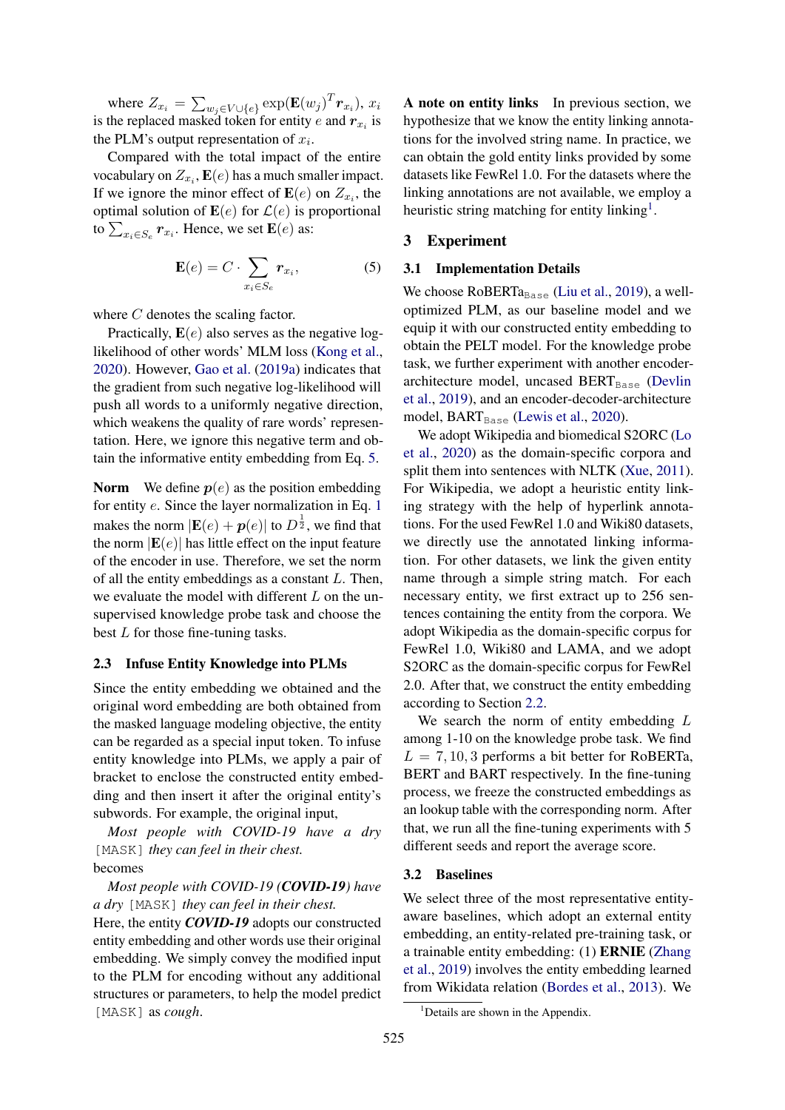where  $Z_{x_i} = \sum_{w_j \in V \cup \{e\}} \exp(\mathbf{E}(w_j)^T \mathbf{r}_{x_i}), x_i$ is the replaced masked token for entity e and  $r_{x_i}$  is the PLM's output representation of  $x_i$ .

Compared with the total impact of the entire vocabulary on  $Z_{x_i}$ ,  $\mathbf{E}(e)$  has a much smaller impact. If we ignore the minor effect of  $\mathbf{E}(e)$  on  $Z_{x_i}$ , the optimal solution of  $\mathbf{E}(e)$  for  $\mathcal{L}(e)$  is proportional to  $\sum_{x_i \in S_e} r_{x_i}$ . Hence, we set  $\mathbf{E}(e)$  as:

$$
\mathbf{E}(e) = C \cdot \sum_{x_i \in S_e} r_{x_i},\tag{5}
$$

where C denotes the scaling factor.

Practically,  $E(e)$  also serves as the negative loglikelihood of other words' MLM loss [\(Kong et al.,](#page-5-10) [2020\)](#page-5-10). However, [Gao et al.](#page-4-1) [\(2019a\)](#page-4-1) indicates that the gradient from such negative log-likelihood will push all words to a uniformly negative direction, which weakens the quality of rare words' representation. Here, we ignore this negative term and obtain the informative entity embedding from Eq. [5.](#page-2-0)

**Norm** We define  $p(e)$  as the position embedding for entity e. Since the layer normalization in Eq. [1](#page-1-1) makes the norm  $|\mathbf{E}(e) + \boldsymbol{p}(e)|$  to  $D^{\frac{1}{2}}$ , we find that the norm  $|E(e)|$  has little effect on the input feature of the encoder in use. Therefore, we set the norm of all the entity embeddings as a constant L. Then, we evaluate the model with different  $L$  on the unsupervised knowledge probe task and choose the best  $L$  for those fine-tuning tasks.

#### 2.3 Infuse Entity Knowledge into PLMs

Since the entity embedding we obtained and the original word embedding are both obtained from the masked language modeling objective, the entity can be regarded as a special input token. To infuse entity knowledge into PLMs, we apply a pair of bracket to enclose the constructed entity embedding and then insert it after the original entity's subwords. For example, the original input,

*Most people with COVID-19 have a dry* [MASK] *they can feel in their chest.* becomes

*Most people with COVID-19 (COVID-19) have a dry* [MASK] *they can feel in their chest.*

Here, the entity *COVID-19* adopts our constructed entity embedding and other words use their original embedding. We simply convey the modified input to the PLM for encoding without any additional structures or parameters, to help the model predict [MASK] as *cough*.

A note on entity links In previous section, we hypothesize that we know the entity linking annotations for the involved string name. In practice, we can obtain the gold entity links provided by some datasets like FewRel 1.0. For the datasets where the linking annotations are not available, we employ a heuristic string matching for entity linking<sup>[1](#page-2-1)</sup>.

#### <span id="page-2-0"></span>3 Experiment

### 3.1 Implementation Details

We choose  $RoBERTa_{Base}$  [\(Liu et al.,](#page-5-0) [2019\)](#page-5-0), a welloptimized PLM, as our baseline model and we equip it with our constructed entity embedding to obtain the PELT model. For the knowledge probe task, we further experiment with another encoder-architecture model, uncased BERT<sub>Base</sub> [\(Devlin](#page-4-0) [et al.,](#page-4-0) [2019\)](#page-4-0), and an encoder-decoder-architecture model,  $BART_{Base}$  [\(Lewis et al.,](#page-5-11) [2020\)](#page-5-11).

We adopt Wikipedia and biomedical S2ORC [\(Lo](#page-5-12) [et al.,](#page-5-12) [2020\)](#page-5-12) as the domain-specific corpora and split them into sentences with NLTK [\(Xue,](#page-6-6) [2011\)](#page-6-6). For Wikipedia, we adopt a heuristic entity linking strategy with the help of hyperlink annotations. For the used FewRel 1.0 and Wiki80 datasets, we directly use the annotated linking information. For other datasets, we link the given entity name through a simple string match. For each necessary entity, we first extract up to 256 sentences containing the entity from the corpora. We adopt Wikipedia as the domain-specific corpus for FewRel 1.0, Wiki80 and LAMA, and we adopt S2ORC as the domain-specific corpus for FewRel 2.0. After that, we construct the entity embedding according to Section [2.2.](#page-1-2)

We search the norm of entity embedding L among 1-10 on the knowledge probe task. We find  $L = 7, 10, 3$  performs a bit better for RoBERTa, BERT and BART respectively. In the fine-tuning process, we freeze the constructed embeddings as an lookup table with the corresponding norm. After that, we run all the fine-tuning experiments with 5 different seeds and report the average score.

#### 3.2 Baselines

We select three of the most representative entityaware baselines, which adopt an external entity embedding, an entity-related pre-training task, or a trainable entity embedding: (1) ERNIE [\(Zhang](#page-6-0) [et al.,](#page-6-0) [2019\)](#page-6-0) involves the entity embedding learned from Wikidata relation [\(Bordes et al.,](#page-4-2) [2013\)](#page-4-2). We

<span id="page-2-1"></span><sup>&</sup>lt;sup>1</sup>Details are shown in the Appendix.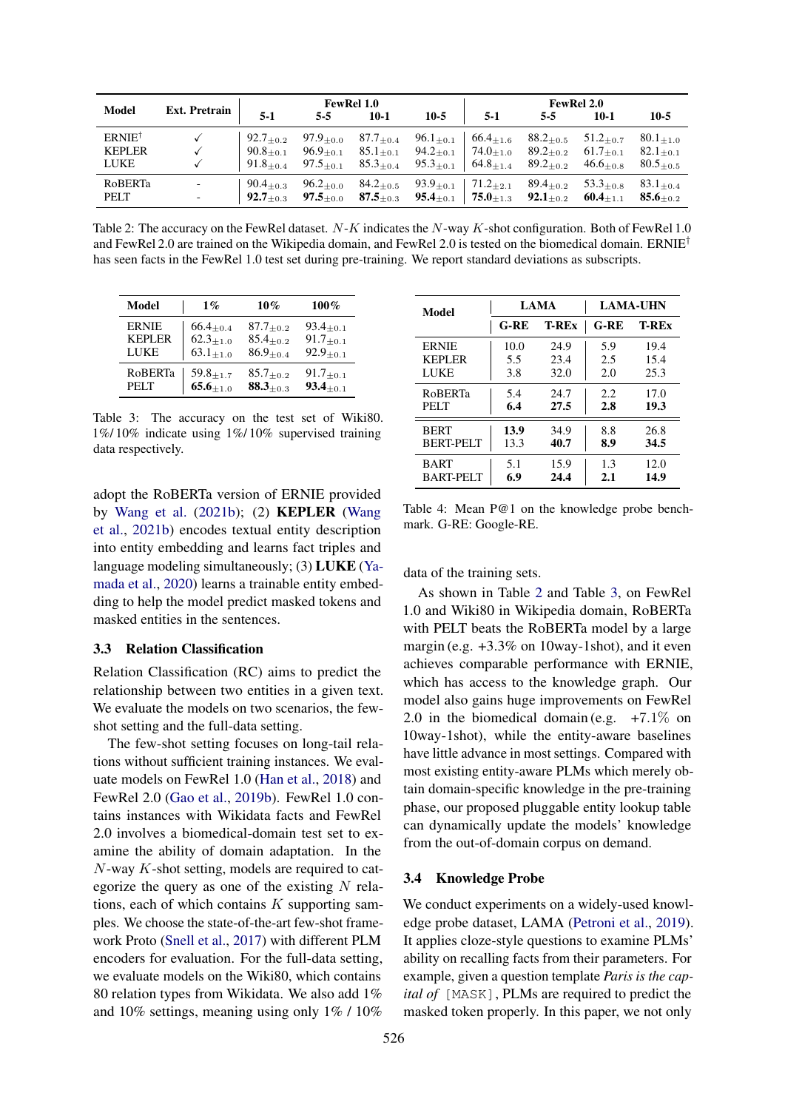<span id="page-3-0"></span>

| Model             |                           |                                                                                                                                                                | <b>FewRel 1.0</b> |                                                                                                                                                    |  | <b>FewRel 2.0</b> |                  |                  |                          |
|-------------------|---------------------------|----------------------------------------------------------------------------------------------------------------------------------------------------------------|-------------------|----------------------------------------------------------------------------------------------------------------------------------------------------|--|-------------------|------------------|------------------|--------------------------|
|                   | Ext. Pretrain $\Big $ 5-1 |                                                                                                                                                                | $5-5$             | $10-1$                                                                                                                                             |  | $10-5$   5-1      | $5-5$            | $10-1$           | $10-5$                   |
| $ERNIE^{\dagger}$ |                           |                                                                                                                                                                |                   | 92.7 <sub>±0.2</sub> 97.9 <sub>±0.0</sub> 87.7 <sub>±0.4</sub> 96.1 <sub>±0.1</sub> 66.4 <sub>±1.6</sub>                                           |  |                   | $88.2_{\pm 0.5}$ | $51.2_{\pm 0.7}$ | $80.1_{+1.0}$            |
| <b>KEPLER</b>     | $\checkmark$              |                                                                                                                                                                |                   |                                                                                                                                                    |  |                   |                  |                  | $82.1_{\pm 0.1}$         |
| <b>LUKE</b>       |                           |                                                                                                                                                                |                   | 91.8 <sub>±0.4</sub> 97.5 <sub>±0.1</sub> 85.3 <sub>±0.4</sub> 95.3 <sub>±0.1</sub> 64.8 <sub>±1.4</sub> 89.2 <sub>±0.2</sub> 46.6 <sub>±0.8</sub> |  |                   |                  |                  | $80.5_{\pm 0.5}$         |
| <b>RoBERTa</b>    |                           | $90.4_{\pm 0.3}$                                                                                                                                               |                   | $96.2_{\pm 0.0}$ $84.2_{\pm 0.5}$ $93.9_{\pm 0.1}$ $71.2_{\pm 2.1}$ $89.4_{\pm 0.2}$                                                               |  |                   |                  | $53.3_{\pm 0.8}$ | $83.1_{\pm 0.4}$         |
| PELT              |                           | $\parallel$ 92.7 <sub>±0.3</sub> 97.5 <sub>±0.0</sub> 87.5 <sub>±0.3</sub> 95.4 <sub>±0.1</sub> 75.0 <sub>±1.3</sub> 92.1 <sub>±0.2</sub> 60.4 <sub>±1.1</sub> |                   |                                                                                                                                                    |  |                   |                  |                  | $\mathbf{85.6}_{\pm0.2}$ |

Table 2: The accuracy on the FewRel dataset.  $N-K$  indicates the  $N$ -way K-shot configuration. Both of FewRel 1.0 and FewRel 2.0 are trained on the Wikipedia domain, and FewRel 2.0 is tested on the biomedical domain. ERNIE<sup>†</sup> has seen facts in the FewRel 1.0 test set during pre-training. We report standard deviations as subscripts.

<span id="page-3-1"></span>

| Model         | $1\%$                       | 10%              | $100\%$                     |
|---------------|-----------------------------|------------------|-----------------------------|
| <b>ERNIE</b>  | $66.4_{\pm 0.4}$            | $87.7_{\pm 0.2}$ | $93.4_{\pm 0.1}$            |
| <b>KEPLER</b> | $62.3{\scriptstyle \pm1.0}$ | $85.4_{\pm 0.2}$ | $91.7{\scriptstyle \pm0.1}$ |
| LUKE          | $63.1_{\pm 1.0}$            | $86.9_{\pm 0.4}$ | $92.9_{\pm 0.1}$            |
| RoBERTa       | $59.8_{\pm 1.7}$            | $85.7_{\pm 0.2}$ | $91.7_{\pm 0.1}$            |
| <b>PELT</b>   | $65.6_{\pm 1.0}$            | $88.3_{\pm 0.3}$ | $93.4_{\pm 0.1}$            |

Table 3: The accuracy on the test set of Wiki80. 1%/ 10% indicate using 1%/ 10% supervised training data respectively.

adopt the RoBERTa version of ERNIE provided by [Wang et al.](#page-6-1) [\(2021b\)](#page-6-1); (2) KEPLER [\(Wang](#page-6-1) [et al.,](#page-6-1) [2021b\)](#page-6-1) encodes textual entity description into entity embedding and learns fact triples and language modeling simultaneously; (3) LUKE [\(Ya](#page-6-2)[mada et al.,](#page-6-2) [2020\)](#page-6-2) learns a trainable entity embedding to help the model predict masked tokens and masked entities in the sentences.

### 3.3 Relation Classification

Relation Classification (RC) aims to predict the relationship between two entities in a given text. We evaluate the models on two scenarios, the fewshot setting and the full-data setting.

The few-shot setting focuses on long-tail relations without sufficient training instances. We evaluate models on FewRel 1.0 [\(Han et al.,](#page-4-5) [2018\)](#page-4-5) and FewRel 2.0 [\(Gao et al.,](#page-4-6) [2019b\)](#page-4-6). FewRel 1.0 contains instances with Wikidata facts and FewRel 2.0 involves a biomedical-domain test set to examine the ability of domain adaptation. In the  $N$ -way  $K$ -shot setting, models are required to categorize the query as one of the existing  $N$  relations, each of which contains  $K$  supporting samples. We choose the state-of-the-art few-shot framework Proto [\(Snell et al.,](#page-5-13) [2017\)](#page-5-13) with different PLM encoders for evaluation. For the full-data setting, we evaluate models on the Wiki80, which contains 80 relation types from Wikidata. We also add 1% and 10% settings, meaning using only 1% / 10%

<span id="page-3-2"></span>

| Model            |        | <b>LAMA</b>  | <b>LAMA-UHN</b> |              |  |
|------------------|--------|--------------|-----------------|--------------|--|
|                  | $G-RE$ | <b>T-REx</b> | $G-RE$          | <b>T-REx</b> |  |
| <b>ERNIE</b>     | 10.0   | 24.9         | 5.9             | 19.4         |  |
| <b>KEPLER</b>    | 5.5    | 23.4         | 2.5             | 15.4         |  |
| LUKE             | 3.8    | 32.0         | 2.0             | 25.3         |  |
| <b>ROBERTa</b>   | 5.4    | 24.7         | 2.2             | 17.0         |  |
| <b>PELT</b>      | 6.4    | 27.5         | 2.8             | 19.3         |  |
| <b>BERT</b>      | 13.9   | 34.9         | 8.8             | 26.8         |  |
| <b>BERT-PELT</b> | 13.3   | 40.7         | 8.9             | 34.5         |  |
| <b>BART</b>      | 5.1    | 15.9         | 1.3             | 12.0         |  |
| BART-PELT        | 6.9    | 24.4         | 2.1             | 14.9         |  |

Table 4: Mean P@1 on the knowledge probe benchmark. G-RE: Google-RE.

data of the training sets.

As shown in Table [2](#page-3-0) and Table [3,](#page-3-1) on FewRel 1.0 and Wiki80 in Wikipedia domain, RoBERTa with PELT beats the RoBERTa model by a large margin (e.g. +3.3% on 10way-1shot), and it even achieves comparable performance with ERNIE, which has access to the knowledge graph. Our model also gains huge improvements on FewRel 2.0 in the biomedical domain (e.g.  $+7.1\%$  on 10way-1shot), while the entity-aware baselines have little advance in most settings. Compared with most existing entity-aware PLMs which merely obtain domain-specific knowledge in the pre-training phase, our proposed pluggable entity lookup table can dynamically update the models' knowledge from the out-of-domain corpus on demand.

### 3.4 Knowledge Probe

We conduct experiments on a widely-used knowledge probe dataset, LAMA [\(Petroni et al.,](#page-5-2) [2019\)](#page-5-2). It applies cloze-style questions to examine PLMs' ability on recalling facts from their parameters. For example, given a question template *Paris is the capital of* [MASK], PLMs are required to predict the masked token properly. In this paper, we not only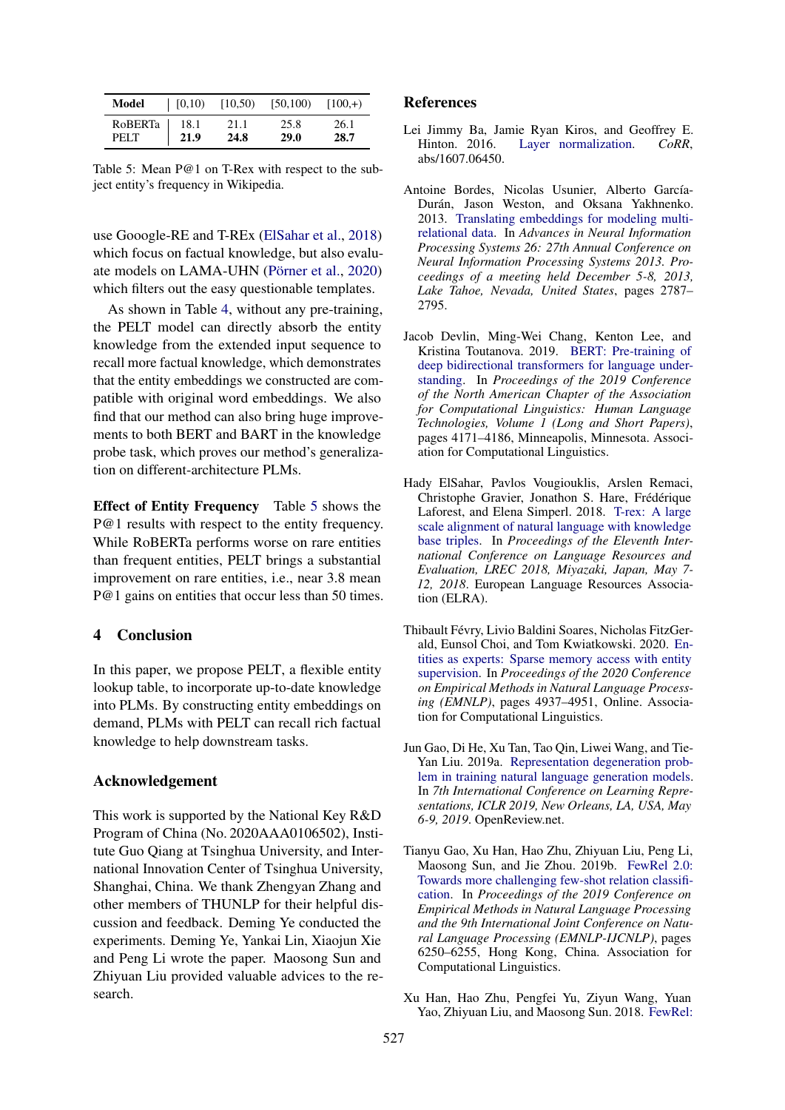<span id="page-4-8"></span>

| Model       | [0,10) | [10, 50) | [50, 100] | $[100, +)$ |
|-------------|--------|----------|-----------|------------|
| RoBERTa     | 18.1   | 21.1     | 25.8      | 26.1       |
| <b>PELT</b> | 21.9   | 24.8     | 29.0      | 28.7       |

Table 5: Mean P@1 on T-Rex with respect to the subject entity's frequency in Wikipedia.

use Gooogle-RE and T-REx [\(ElSahar et al.,](#page-4-7) [2018\)](#page-4-7) which focus on factual knowledge, but also evaluate models on LAMA-UHN [\(Pörner et al.,](#page-5-7) [2020\)](#page-5-7) which filters out the easy questionable templates.

As shown in Table [4,](#page-3-2) without any pre-training, the PELT model can directly absorb the entity knowledge from the extended input sequence to recall more factual knowledge, which demonstrates that the entity embeddings we constructed are compatible with original word embeddings. We also find that our method can also bring huge improvements to both BERT and BART in the knowledge probe task, which proves our method's generalization on different-architecture PLMs.

Effect of Entity Frequency Table [5](#page-4-8) shows the P@1 results with respect to the entity frequency. While RoBERTa performs worse on rare entities than frequent entities, PELT brings a substantial improvement on rare entities, i.e., near 3.8 mean P@1 gains on entities that occur less than 50 times.

### 4 Conclusion

In this paper, we propose PELT, a flexible entity lookup table, to incorporate up-to-date knowledge into PLMs. By constructing entity embeddings on demand, PLMs with PELT can recall rich factual knowledge to help downstream tasks.

### Acknowledgement

This work is supported by the National Key R&D Program of China (No. 2020AAA0106502), Institute Guo Qiang at Tsinghua University, and International Innovation Center of Tsinghua University, Shanghai, China. We thank Zhengyan Zhang and other members of THUNLP for their helpful discussion and feedback. Deming Ye conducted the experiments. Deming Ye, Yankai Lin, Xiaojun Xie and Peng Li wrote the paper. Maosong Sun and Zhiyuan Liu provided valuable advices to the research.

#### References

- <span id="page-4-4"></span>Lei Jimmy Ba, Jamie Ryan Kiros, and Geoffrey E. Hinton. 2016. [Layer normalization.](http://arxiv.org/abs/1607.06450) *CoRR*, abs/1607.06450.
- <span id="page-4-2"></span>Antoine Bordes, Nicolas Usunier, Alberto García-Durán, Jason Weston, and Oksana Yakhnenko. 2013. [Translating embeddings for modeling multi](https://proceedings.neurips.cc/paper/2013/hash/1cecc7a77928ca8133fa24680a88d2f9-Abstract.html)[relational data.](https://proceedings.neurips.cc/paper/2013/hash/1cecc7a77928ca8133fa24680a88d2f9-Abstract.html) In *Advances in Neural Information Processing Systems 26: 27th Annual Conference on Neural Information Processing Systems 2013. Proceedings of a meeting held December 5-8, 2013, Lake Tahoe, Nevada, United States*, pages 2787– 2795.
- <span id="page-4-0"></span>Jacob Devlin, Ming-Wei Chang, Kenton Lee, and Kristina Toutanova. 2019. [BERT: Pre-training of](https://doi.org/10.18653/v1/N19-1423) [deep bidirectional transformers for language under](https://doi.org/10.18653/v1/N19-1423)[standing.](https://doi.org/10.18653/v1/N19-1423) In *Proceedings of the 2019 Conference of the North American Chapter of the Association for Computational Linguistics: Human Language Technologies, Volume 1 (Long and Short Papers)*, pages 4171–4186, Minneapolis, Minnesota. Association for Computational Linguistics.
- <span id="page-4-7"></span>Hady ElSahar, Pavlos Vougiouklis, Arslen Remaci, Christophe Gravier, Jonathon S. Hare, Frédérique Laforest, and Elena Simperl. 2018. [T-rex: A large](http://www.lrec-conf.org/proceedings/lrec2018/summaries/632.html) [scale alignment of natural language with knowledge](http://www.lrec-conf.org/proceedings/lrec2018/summaries/632.html) [base triples.](http://www.lrec-conf.org/proceedings/lrec2018/summaries/632.html) In *Proceedings of the Eleventh International Conference on Language Resources and Evaluation, LREC 2018, Miyazaki, Japan, May 7- 12, 2018*. European Language Resources Association (ELRA).
- <span id="page-4-3"></span>Thibault Févry, Livio Baldini Soares, Nicholas FitzGerald, Eunsol Choi, and Tom Kwiatkowski. 2020. [En](https://doi.org/10.18653/v1/2020.emnlp-main.400)[tities as experts: Sparse memory access with entity](https://doi.org/10.18653/v1/2020.emnlp-main.400) [supervision.](https://doi.org/10.18653/v1/2020.emnlp-main.400) In *Proceedings of the 2020 Conference on Empirical Methods in Natural Language Processing (EMNLP)*, pages 4937–4951, Online. Association for Computational Linguistics.
- <span id="page-4-1"></span>Jun Gao, Di He, Xu Tan, Tao Qin, Liwei Wang, and Tie-Yan Liu. 2019a. [Representation degeneration prob](https://openreview.net/forum?id=SkEYojRqtm)[lem in training natural language generation models.](https://openreview.net/forum?id=SkEYojRqtm) In *7th International Conference on Learning Representations, ICLR 2019, New Orleans, LA, USA, May 6-9, 2019*. OpenReview.net.
- <span id="page-4-6"></span>Tianyu Gao, Xu Han, Hao Zhu, Zhiyuan Liu, Peng Li, Maosong Sun, and Jie Zhou. 2019b. [FewRel 2.0:](https://doi.org/10.18653/v1/D19-1649) [Towards more challenging few-shot relation classifi](https://doi.org/10.18653/v1/D19-1649)[cation.](https://doi.org/10.18653/v1/D19-1649) In *Proceedings of the 2019 Conference on Empirical Methods in Natural Language Processing and the 9th International Joint Conference on Natural Language Processing (EMNLP-IJCNLP)*, pages 6250–6255, Hong Kong, China. Association for Computational Linguistics.
- <span id="page-4-5"></span>Xu Han, Hao Zhu, Pengfei Yu, Ziyun Wang, Yuan Yao, Zhiyuan Liu, and Maosong Sun. 2018. [FewRel:](https://doi.org/10.18653/v1/D18-1514)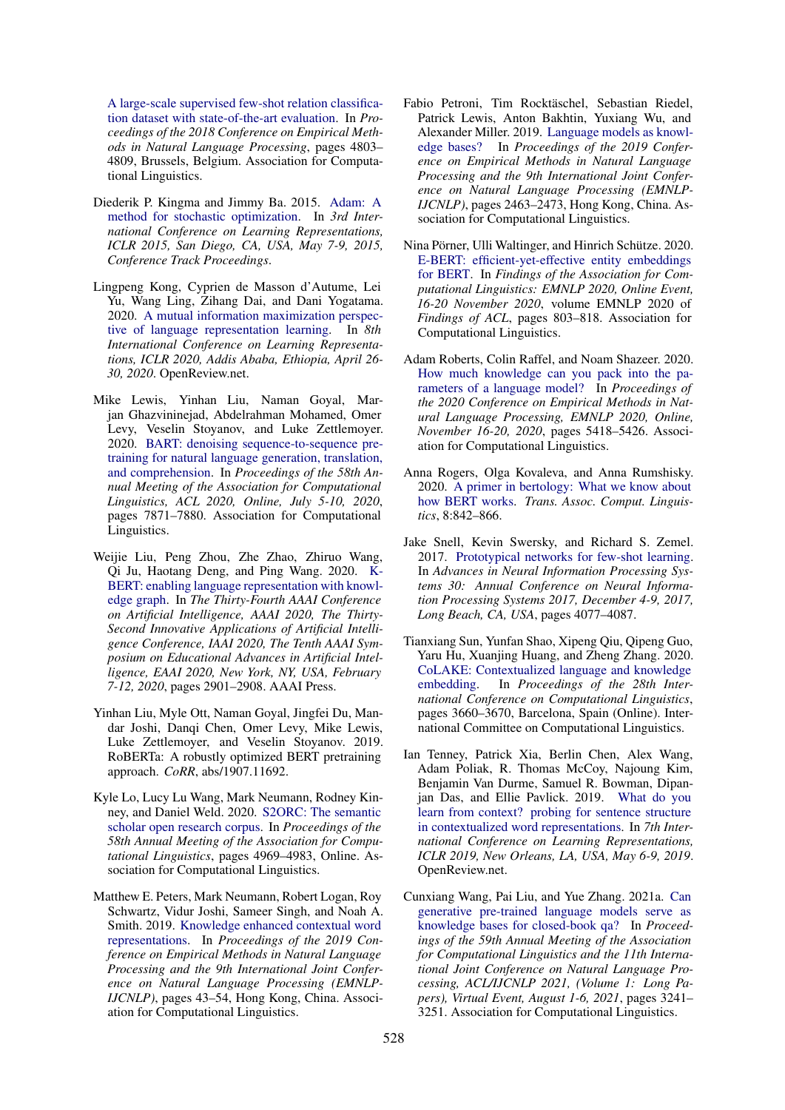[A large-scale supervised few-shot relation classifica](https://doi.org/10.18653/v1/D18-1514)[tion dataset with state-of-the-art evaluation.](https://doi.org/10.18653/v1/D18-1514) In *Proceedings of the 2018 Conference on Empirical Methods in Natural Language Processing*, pages 4803– 4809, Brussels, Belgium. Association for Computational Linguistics.

- <span id="page-5-14"></span>Diederik P. Kingma and Jimmy Ba. 2015. [Adam: A](http://arxiv.org/abs/1412.6980) [method for stochastic optimization.](http://arxiv.org/abs/1412.6980) In *3rd International Conference on Learning Representations, ICLR 2015, San Diego, CA, USA, May 7-9, 2015, Conference Track Proceedings*.
- <span id="page-5-10"></span>Lingpeng Kong, Cyprien de Masson d'Autume, Lei Yu, Wang Ling, Zihang Dai, and Dani Yogatama. 2020. [A mutual information maximization perspec](https://openreview.net/forum?id=Syx79eBKwr)[tive of language representation learning.](https://openreview.net/forum?id=Syx79eBKwr) In *8th International Conference on Learning Representations, ICLR 2020, Addis Ababa, Ethiopia, April 26- 30, 2020*. OpenReview.net.
- <span id="page-5-11"></span>Mike Lewis, Yinhan Liu, Naman Goyal, Marjan Ghazvininejad, Abdelrahman Mohamed, Omer Levy, Veselin Stoyanov, and Luke Zettlemoyer. 2020. [BART: denoising sequence-to-sequence pre](https://doi.org/10.18653/v1/2020.acl-main.703)[training for natural language generation, translation,](https://doi.org/10.18653/v1/2020.acl-main.703) [and comprehension.](https://doi.org/10.18653/v1/2020.acl-main.703) In *Proceedings of the 58th Annual Meeting of the Association for Computational Linguistics, ACL 2020, Online, July 5-10, 2020*, pages 7871–7880. Association for Computational Linguistics.
- <span id="page-5-5"></span>Weijie Liu, Peng Zhou, Zhe Zhao, Zhiruo Wang, Qi Ju, Haotang Deng, and Ping Wang. 2020. [K-](https://aaai.org/ojs/index.php/AAAI/article/view/5681)[BERT: enabling language representation with knowl](https://aaai.org/ojs/index.php/AAAI/article/view/5681)[edge graph.](https://aaai.org/ojs/index.php/AAAI/article/view/5681) In *The Thirty-Fourth AAAI Conference on Artificial Intelligence, AAAI 2020, The Thirty-Second Innovative Applications of Artificial Intelligence Conference, IAAI 2020, The Tenth AAAI Symposium on Educational Advances in Artificial Intelligence, EAAI 2020, New York, NY, USA, February 7-12, 2020*, pages 2901–2908. AAAI Press.
- <span id="page-5-0"></span>Yinhan Liu, Myle Ott, Naman Goyal, Jingfei Du, Mandar Joshi, Danqi Chen, Omer Levy, Mike Lewis, Luke Zettlemoyer, and Veselin Stoyanov. 2019. RoBERTa: A robustly optimized BERT pretraining approach. *CoRR*, abs/1907.11692.
- <span id="page-5-12"></span>Kyle Lo, Lucy Lu Wang, Mark Neumann, Rodney Kinney, and Daniel Weld. 2020. [S2ORC: The semantic](https://doi.org/10.18653/v1/2020.acl-main.447) [scholar open research corpus.](https://doi.org/10.18653/v1/2020.acl-main.447) In *Proceedings of the 58th Annual Meeting of the Association for Computational Linguistics*, pages 4969–4983, Online. Association for Computational Linguistics.
- <span id="page-5-6"></span>Matthew E. Peters, Mark Neumann, Robert Logan, Roy Schwartz, Vidur Joshi, Sameer Singh, and Noah A. Smith. 2019. [Knowledge enhanced contextual word](https://doi.org/10.18653/v1/D19-1005) [representations.](https://doi.org/10.18653/v1/D19-1005) In *Proceedings of the 2019 Conference on Empirical Methods in Natural Language Processing and the 9th International Joint Conference on Natural Language Processing (EMNLP-IJCNLP)*, pages 43–54, Hong Kong, China. Association for Computational Linguistics.
- <span id="page-5-2"></span>Fabio Petroni, Tim Rocktäschel, Sebastian Riedel, Patrick Lewis, Anton Bakhtin, Yuxiang Wu, and Alexander Miller. 2019. [Language models as knowl](https://doi.org/10.18653/v1/D19-1250)[edge bases?](https://doi.org/10.18653/v1/D19-1250) In *Proceedings of the 2019 Conference on Empirical Methods in Natural Language Processing and the 9th International Joint Conference on Natural Language Processing (EMNLP-IJCNLP)*, pages 2463–2473, Hong Kong, China. Association for Computational Linguistics.
- <span id="page-5-7"></span>Nina Pörner, Ulli Waltinger, and Hinrich Schütze. 2020. [E-BERT: efficient-yet-effective entity embeddings](https://doi.org/10.18653/v1/2020.findings-emnlp.71) [for BERT.](https://doi.org/10.18653/v1/2020.findings-emnlp.71) In *Findings of the Association for Computational Linguistics: EMNLP 2020, Online Event, 16-20 November 2020*, volume EMNLP 2020 of *Findings of ACL*, pages 803–818. Association for Computational Linguistics.
- <span id="page-5-3"></span>Adam Roberts, Colin Raffel, and Noam Shazeer. 2020. [How much knowledge can you pack into the pa](https://doi.org/10.18653/v1/2020.emnlp-main.437)[rameters of a language model?](https://doi.org/10.18653/v1/2020.emnlp-main.437) In *Proceedings of the 2020 Conference on Empirical Methods in Natural Language Processing, EMNLP 2020, Online, November 16-20, 2020*, pages 5418–5426. Association for Computational Linguistics.
- <span id="page-5-9"></span>Anna Rogers, Olga Kovaleva, and Anna Rumshisky. 2020. [A primer in bertology: What we know about](https://transacl.org/ojs/index.php/tacl/article/view/2257) [how BERT works.](https://transacl.org/ojs/index.php/tacl/article/view/2257) *Trans. Assoc. Comput. Linguistics*, 8:842–866.
- <span id="page-5-13"></span>Jake Snell, Kevin Swersky, and Richard S. Zemel. 2017. [Prototypical networks for few-shot learning.](https://proceedings.neurips.cc/paper/2017/hash/cb8da6767461f2812ae4290eac7cbc42-Abstract.html) In *Advances in Neural Information Processing Systems 30: Annual Conference on Neural Information Processing Systems 2017, December 4-9, 2017, Long Beach, CA, USA*, pages 4077–4087.
- <span id="page-5-8"></span>Tianxiang Sun, Yunfan Shao, Xipeng Qiu, Qipeng Guo, Yaru Hu, Xuanjing Huang, and Zheng Zhang. 2020. [CoLAKE: Contextualized language and knowledge](https://doi.org/10.18653/v1/2020.coling-main.327) [embedding.](https://doi.org/10.18653/v1/2020.coling-main.327) In *Proceedings of the 28th International Conference on Computational Linguistics*, pages 3660–3670, Barcelona, Spain (Online). International Committee on Computational Linguistics.
- <span id="page-5-1"></span>Ian Tenney, Patrick Xia, Berlin Chen, Alex Wang, Adam Poliak, R. Thomas McCoy, Najoung Kim, Benjamin Van Durme, Samuel R. Bowman, Dipanjan Das, and Ellie Pavlick. 2019. [What do you](https://openreview.net/forum?id=SJzSgnRcKX) [learn from context? probing for sentence structure](https://openreview.net/forum?id=SJzSgnRcKX) [in contextualized word representations.](https://openreview.net/forum?id=SJzSgnRcKX) In *7th International Conference on Learning Representations, ICLR 2019, New Orleans, LA, USA, May 6-9, 2019*. OpenReview.net.
- <span id="page-5-4"></span>Cunxiang Wang, Pai Liu, and Yue Zhang. 2021a. [Can](https://doi.org/10.18653/v1/2021.acl-long.251) [generative pre-trained language models serve as](https://doi.org/10.18653/v1/2021.acl-long.251) [knowledge bases for closed-book qa?](https://doi.org/10.18653/v1/2021.acl-long.251) In *Proceedings of the 59th Annual Meeting of the Association for Computational Linguistics and the 11th International Joint Conference on Natural Language Processing, ACL/IJCNLP 2021, (Volume 1: Long Papers), Virtual Event, August 1-6, 2021*, pages 3241– 3251. Association for Computational Linguistics.